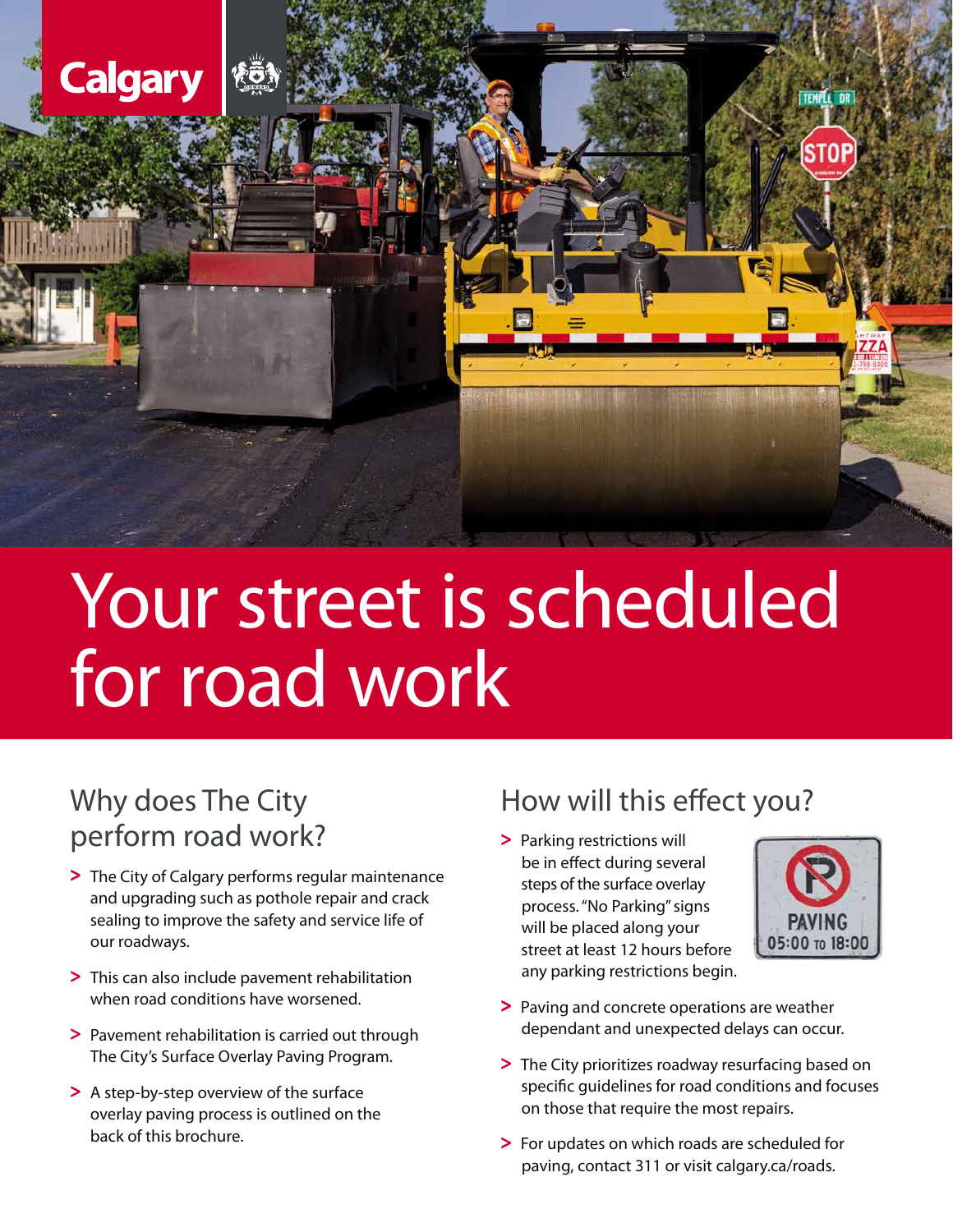

# Your street is scheduled for road work

# Why does The City perform road work?

- > The City of Calgary performs regular maintenance and upgrading such as pothole repair and crack sealing to improve the safety and service life of our roadways.
- > This can also include pavement rehabilitation when road conditions have worsened.
- > Pavement rehabilitation is carried out through The City's Surface Overlay Paving Program.
- > A step-by-step overview of the surface overlay paving process is outlined on the back of this brochure.

## How will this effect you?

> Parking restrictions will be in effect during several steps of the surface overlay process. "No Parking" signs will be placed along your street at least 12 hours before any parking restrictions begin.



- > Paving and concrete operations are weather dependant and unexpected delays can occur.
- > The City prioritizes roadway resurfacing based on specific guidelines for road conditions and focuses on those that require the most repairs.
- > For updates on which roads are scheduled for paving, contact 311 or visit calgary.ca/roads.